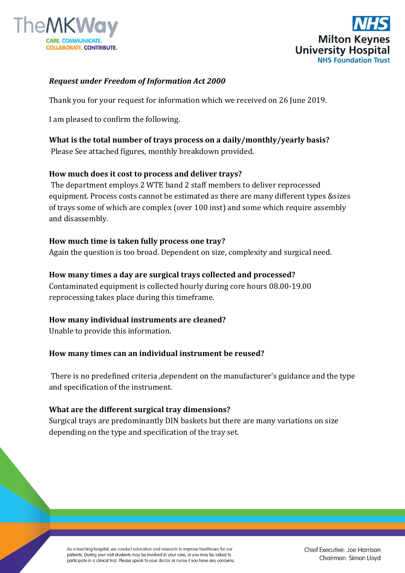



# *Request under Freedom of Information Act 2000*

Thank you for your request for information which we received on 26 June 2019.

I am pleased to confirm the following.

# **What is the total number of trays process on a daily/monthly/yearly basis?**

Please See attached figures, monthly breakdown provided.

## **How much does it cost to process and deliver trays?**

The department employs 2 WTE band 2 staff members to deliver reprocessed equipment. Process costs cannot be estimated as there are many different types &sizes of trays some of which are complex (over 100 inst) and some which require assembly and disassembly.

### **How much time is taken fully process one tray?**

Again the question is too broad. Dependent on size, complexity and surgical need.

### **How many times a day are surgical trays collected and processed?**

Contaminated equipment is collected hourly during core hours 08.00-19.00 reprocessing takes place during this timeframe.

### **How many individual instruments are cleaned?**

Unable to provide this information.

### **How many times can an individual instrument be reused?**

There is no predefined criteria ,dependent on the manufacturer's guidance and the type and specification of the instrument.

### **What are the different surgical tray dimensions?**

Surgical trays are predominantly DIN baskets but there are many variations on size depending on the type and specification of the tray set.